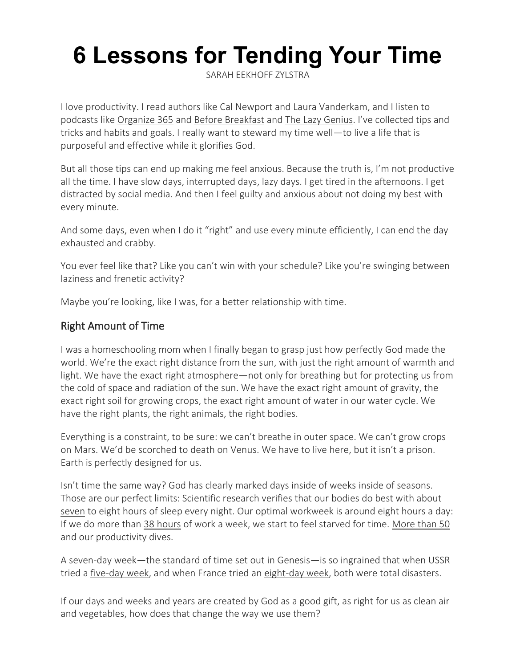# **6 Lessons for Tending Your Time**

[SARAH EEKHOFF ZYLSTRA](https://www.thegospelcoalition.org/profile/sarah-eekhoff-zylstra/) 

I love productivity. I read authors like [Cal Newport](https://www.thegospelcoalition.org/reviews/world-without-email-cal-newport/) and [Laura Vanderkam,](https://www.amazon.com/168-Hours-Have-More-Think/dp/159184410X/?tag=thegospcoal-20) and I listen to podcasts like [Organize 365](https://organize365.com/podcast/) and [Before Breakfast](https://lauravanderkam.com/before-breakfast-podcast/) and [The Lazy Genius.](https://www.thelazygeniuscollective.com/lazy) I've collected tips and tricks and habits and goals. I really want to steward my time well—to live a life that is purposeful and effective while it glorifies God.

But all those tips can end up making me feel anxious. Because the truth is, I'm not productive all the time. I have slow days, interrupted days, lazy days. I get tired in the afternoons. I get distracted by social media. And then I feel guilty and anxious about not doing my best with every minute.

And some days, even when I do it "right" and use every minute efficiently, I can end the day exhausted and crabby.

You ever feel like that? Like you can't win with your schedule? Like you're swinging between laziness and frenetic activity?

Maybe you're looking, like I was, for a better relationship with time.

#### Right Amount of Time

I was a homeschooling mom when I finally began to grasp just how perfectly God made the world. We're the exact right distance from the sun, with just the right amount of warmth and light. We have the exact right atmosphere—not only for breathing but for protecting us from the cold of space and radiation of the sun. We have the exact right amount of gravity, the exact right soil for growing crops, the exact right amount of water in our water cycle. We have the right plants, the right animals, the right bodies.

Everything is a constraint, to be sure: we can't breathe in outer space. We can't grow crops on Mars. We'd be scorched to death on Venus. We have to live here, but it isn't a prison. Earth is perfectly designed for us.

Isn't time the same way? God has clearly marked days inside of weeks inside of seasons. Those are our perfect limits: Scientific research verifies that our bodies do best with about [seven](https://www.wsj.com/articles/sleep-experts-close-in-on-the-optimal-nights-sleep-1405984970) to eight hours of sleep every night. Our optimal workweek is around eight hours a day: If we do more than [38 hours](https://www.amazon.com/Off-Clock-Feel-While-Getting/dp/0735219818/?tag=thegospcoal-20) of work a week, we start to feel starved for time. [More than 50](https://www.cnbc.com/2019/03/20/stanford-study-longer-hours-doesnt-make-you-more-productive-heres-how-to-get-more-done-by-doing-less.html) and our productivity dives.

A seven-day week—the standard of time set out in Genesis—is so ingrained that when USSR tried a [five-day week,](https://www.history.com/news/soviet-union-stalin-weekend-labor-policy) and when France tried an [eight-day week,](https://www.thetrumpet.com/8861-why-the-week) both were total disasters.

If our days and weeks and years are created by God as a good gift, as right for us as clean air and vegetables, how does that change the way we use them?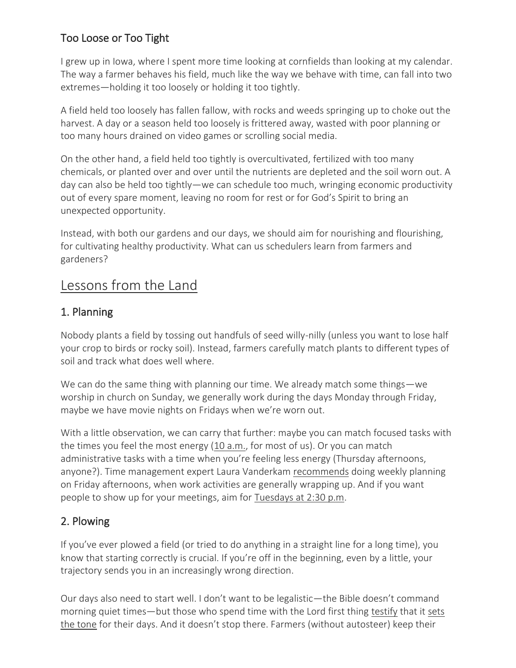## Too Loose or Too Tight

I grew up in Iowa, where I spent more time looking at cornfields than looking at my calendar. The way a farmer behaves his field, much like the way we behave with time, can fall into two extremes—holding it too loosely or holding it too tightly.

A field held too loosely has fallen fallow, with rocks and weeds springing up to choke out the harvest. A day or a season held too loosely is frittered away, wasted with poor planning or too many hours drained on video games or scrolling social media.

On the other hand, a field held too tightly is overcultivated, fertilized with too many chemicals, or planted over and over until the nutrients are depleted and the soil worn out. A day can also be held too tightly—we can schedule too much, wringing economic productivity out of every spare moment, leaving no room for rest or for God's Spirit to bring an unexpected opportunity.

Instead, with both our gardens and our days, we should aim for nourishing and flourishing, for cultivating healthy productivity. What can us schedulers learn from farmers and gardeners?

## Lessons from the Land

#### 1. Planning

Nobody plants a field by tossing out handfuls of seed willy-nilly (unless you want to lose half your crop to birds or rocky soil). Instead, farmers carefully match plants to different types of soil and track what does well where.

We can do the same thing with planning our time. We already match some things—we worship in church on Sunday, we generally work during the days Monday through Friday, maybe we have movie nights on Fridays when we're worn out.

With a little observation, we can carry that further: maybe you can match focused tasks with the times you feel the most energy [\(10 a.m.,](https://news.gallup.com/poll/101866/majority-americans-personal-best-morning.aspx) for most of us). Or you can match administrative tasks with a time when you're feeling less energy (Thursday afternoons, anyone?). Time management expert Laura Vanderkam [recommends](https://lauravanderkam.com/2021/03/plan-tight-then-plan-light/) doing weekly planning on Friday afternoons, when work activities are generally wrapping up. And if you want people to show up for your meetings, aim for [Tuesdays at 2:30 p.m.](https://qz.com/work/653033/heres-the-best-day-and-time-to-hold-a-meeting/)

### 2. Plowing

If you've ever plowed a field (or tried to do anything in a straight line for a long time), you know that starting correctly is crucial. If you're off in the beginning, even by a little, your trajectory sends you in an increasingly wrong direction.

Our days also need to start well. I don't want to be legalistic—the Bible doesn't command morning quiet times—but those who spend time with the Lord first thing [testify](https://www.thegospelcoalition.org/blogs/jared-c-wilson/starting-the-morning-satisfied/) that it [sets](https://www.thegospelcoalition.org/article/new-mercies-morning-devotions/)  [the tone](https://www.thegospelcoalition.org/article/new-mercies-morning-devotions/) for their days. And it doesn't stop there. Farmers (without autosteer) keep their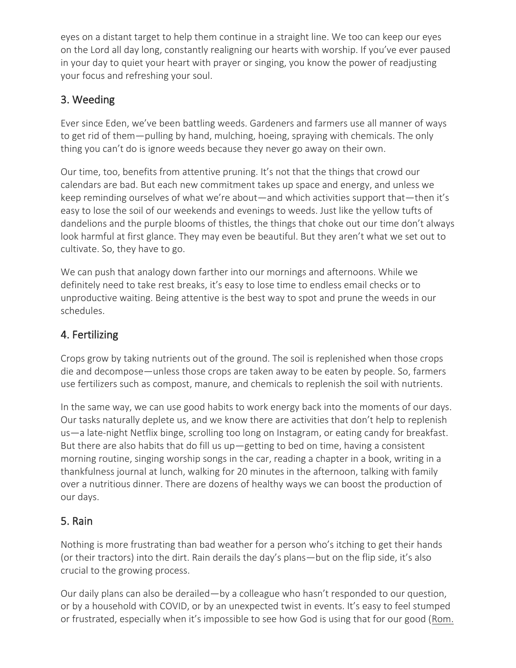eyes on a distant target to help them continue in a straight line. We too can keep our eyes on the Lord all day long, constantly realigning our hearts with worship. If you've ever paused in your day to quiet your heart with prayer or singing, you know the power of readjusting your focus and refreshing your soul.

## 3. Weeding

Ever since Eden, we've been battling weeds. Gardeners and farmers use all manner of ways to get rid of them—pulling by hand, mulching, hoeing, spraying with chemicals. The only thing you can't do is ignore weeds because they never go away on their own.

Our time, too, benefits from attentive pruning. It's not that the things that crowd our calendars are bad. But each new commitment takes up space and energy, and unless we keep reminding ourselves of what we're about—and which activities support that—then it's easy to lose the soil of our weekends and evenings to weeds. Just like the yellow tufts of dandelions and the purple blooms of thistles, the things that choke out our time don't always look harmful at first glance. They may even be beautiful. But they aren't what we set out to cultivate. So, they have to go.

We can push that analogy down farther into our mornings and afternoons. While we definitely need to take rest breaks, it's easy to lose time to endless email checks or to unproductive waiting. Being attentive is the best way to spot and prune the weeds in our schedules.

## 4. Fertilizing

Crops grow by taking nutrients out of the ground. The soil is replenished when those crops die and decompose—unless those crops are taken away to be eaten by people. So, farmers use fertilizers such as compost, manure, and chemicals to replenish the soil with nutrients.

In the same way, we can use good habits to work energy back into the moments of our days. Our tasks naturally deplete us, and we know there are activities that don't help to replenish us—a late-night Netflix binge, scrolling too long on Instagram, or eating candy for breakfast. But there are also habits that do fill us up—getting to bed on time, having a consistent morning routine, singing worship songs in the car, reading a chapter in a book, writing in a thankfulness journal at lunch, walking for 20 minutes in the afternoon, talking with family over a nutritious dinner. There are dozens of healthy ways we can boost the production of our days.

## 5. Rain

Nothing is more frustrating than bad weather for a person who's itching to get their hands (or their tractors) into the dirt. Rain derails the day's plans—but on the flip side, it's also crucial to the growing process.

Our daily plans can also be derailed—by a colleague who hasn't responded to our question, or by a household with COVID, or by an unexpected twist in events. It's easy to feel stumped or frustrated, especially when it's impossible to see how God is using that for our good ([Rom.](https://www.esv.org/Rom.%208%3A28/)